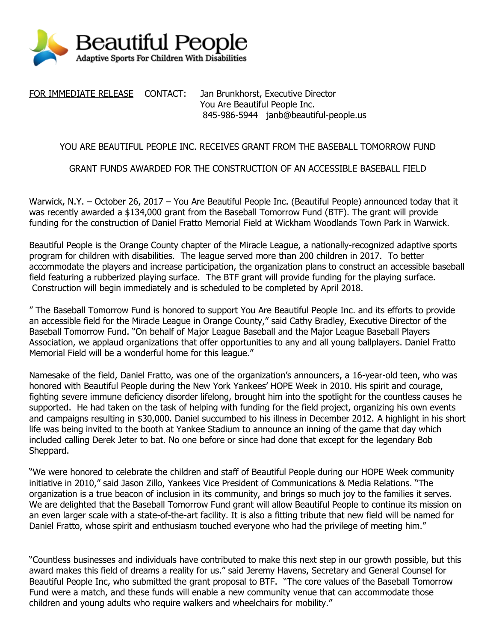

FOR IMMEDIATE RELEASE CONTACT: Jan Brunkhorst, Executive Director You Are Beautiful People Inc. 845-986-5944 janb@beautiful-people.us

## YOU ARE BEAUTIFUL PEOPLE INC. RECEIVES GRANT FROM THE BASEBALL TOMORROW FUND

## GRANT FUNDS AWARDED FOR THE CONSTRUCTION OF AN ACCESSIBLE BASEBALL FIELD

Warwick, N.Y. – October 26, 2017 – You Are Beautiful People Inc. (Beautiful People) announced today that it was recently awarded a \$134,000 grant from the Baseball Tomorrow Fund (BTF). The grant will provide funding for the construction of Daniel Fratto Memorial Field at Wickham Woodlands Town Park in Warwick.

Beautiful People is the Orange County chapter of the Miracle League, a nationally-recognized adaptive sports program for children with disabilities. The league served more than 200 children in 2017. To better accommodate the players and increase participation, the organization plans to construct an accessible baseball field featuring a rubberized playing surface. The BTF grant will provide funding for the playing surface. Construction will begin immediately and is scheduled to be completed by April 2018.

" The Baseball Tomorrow Fund is honored to support You Are Beautiful People Inc. and its efforts to provide an accessible field for the Miracle League in Orange County," said Cathy Bradley, Executive Director of the Baseball Tomorrow Fund. "On behalf of Major League Baseball and the Major League Baseball Players Association, we applaud organizations that offer opportunities to any and all young ballplayers. Daniel Fratto Memorial Field will be a wonderful home for this league."

Namesake of the field, Daniel Fratto, was one of the organization's announcers, a 16-year-old teen, who was honored with Beautiful People during the New York Yankees' HOPE Week in 2010. His spirit and courage, fighting severe immune deficiency disorder lifelong, brought him into the spotlight for the countless causes he supported. He had taken on the task of helping with funding for the field project, organizing his own events and campaigns resulting in \$30,000. Daniel succumbed to his illness in December 2012. A highlight in his short life was being invited to the booth at Yankee Stadium to announce an inning of the game that day which included calling Derek Jeter to bat. No one before or since had done that except for the legendary Bob Sheppard.

"We were honored to celebrate the children and staff of Beautiful People during our HOPE Week community initiative in 2010," said Jason Zillo, Yankees Vice President of Communications & Media Relations. "The organization is a true beacon of inclusion in its community, and brings so much joy to the families it serves. We are delighted that the Baseball Tomorrow Fund grant will allow Beautiful People to continue its mission on an even larger scale with a state-of-the-art facility. It is also a fitting tribute that new field will be named for Daniel Fratto, whose spirit and enthusiasm touched everyone who had the privilege of meeting him."

"Countless businesses and individuals have contributed to make this next step in our growth possible, but this award makes this field of dreams a reality for us." said Jeremy Havens, Secretary and General Counsel for Beautiful People Inc, who submitted the grant proposal to BTF. "The core values of the Baseball Tomorrow Fund were a match, and these funds will enable a new community venue that can accommodate those children and young adults who require walkers and wheelchairs for mobility."